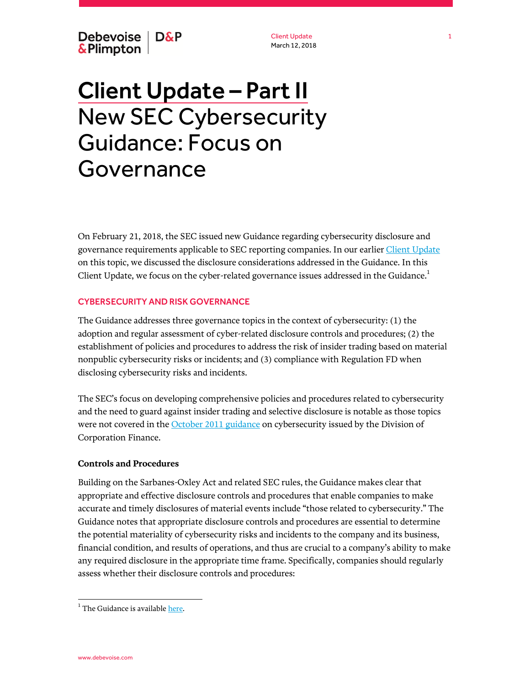Client Update March 12, 2018

# Client Update – Part II New SEC Cybersecurity Guidance: Focus on **Governance**

On February 21, 2018, the SEC issued new Guidance regarding cybersecurity disclosure and governance requirements applicable to SEC reporting companies. In our earlier [Client Update](https://www.debevoise.com/~/media/files/insights/publications/2018/02/20180222a%20sec_cybersecurity_guidance.pdf) on this topic, we discussed the disclosure considerations addressed in the Guidance. In this Client Update, we focus on the cyber-related governance issues addressed in the Guidance. $^1$ 

### CYBERSECURITY AND RISK GOVERNANCE

The Guidance addresses three governance topics in the context of cybersecurity: (1) the adoption and regular assessment of cyber-related disclosure controls and procedures; (2) the establishment of policies and procedures to address the risk of insider trading based on material nonpublic cybersecurity risks or incidents; and (3) compliance with Regulation FD when disclosing cybersecurity risks and incidents.

The SEC's focus on developing comprehensive policies and procedures related to cybersecurity and the need to guard against insider trading and selective disclosure is notable as those topics were not covered in the [October 2011 guidance](https://www.sec.gov/divisions/corpfin/guidance/cfguidance-topic2.htm) on cybersecurity issued by the Division of Corporation Finance.

# **Controls and Procedures**

Building on the Sarbanes-Oxley Act and related SEC rules, the Guidance makes clear that appropriate and effective disclosure controls and procedures that enable companies to make accurate and timely disclosures of material events include "those related to cybersecurity." The Guidance notes that appropriate disclosure controls and procedures are essential to determine the potential materiality of cybersecurity risks and incidents to the company and its business, financial condition, and results of operations, and thus are crucial to a company's ability to make any required disclosure in the appropriate time frame. Specifically, companies should regularly assess whether their disclosure controls and procedures:

1

 $\overline{a}$ 

 $^{\rm 1}$  The Guidance is available  $_{\rm here.}$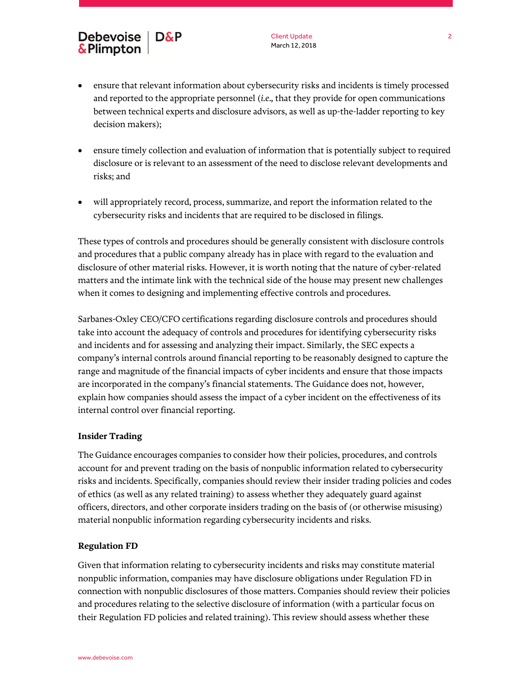# Debevoise | D&P  $&$ Plimpton

Client Update March 12, 2018

- ensure that relevant information about cybersecurity risks and incidents is timely processed and reported to the appropriate personnel (*i.e.,* that they provide for open communications between technical experts and disclosure advisors, as well as up-the-ladder reporting to key decision makers);
- ensure timely collection and evaluation of information that is potentially subject to required disclosure or is relevant to an assessment of the need to disclose relevant developments and risks; and
- will appropriately record, process, summarize, and report the information related to the cybersecurity risks and incidents that are required to be disclosed in filings.

These types of controls and procedures should be generally consistent with disclosure controls and procedures that a public company already has in place with regard to the evaluation and disclosure of other material risks. However, it is worth noting that the nature of cyber-related matters and the intimate link with the technical side of the house may present new challenges when it comes to designing and implementing effective controls and procedures.

Sarbanes-Oxley CEO/CFO certifications regarding disclosure controls and procedures should take into account the adequacy of controls and procedures for identifying cybersecurity risks and incidents and for assessing and analyzing their impact. Similarly, the SEC expects a company's internal controls around financial reporting to be reasonably designed to capture the range and magnitude of the financial impacts of cyber incidents and ensure that those impacts are incorporated in the company's financial statements. The Guidance does not, however, explain how companies should assess the impact of a cyber incident on the effectiveness of its internal control over financial reporting.

# **Insider Trading**

The Guidance encourages companies to consider how their policies, procedures, and controls account for and prevent trading on the basis of nonpublic information related to cybersecurity risks and incidents. Specifically, companies should review their insider trading policies and codes of ethics (as well as any related training) to assess whether they adequately guard against officers, directors, and other corporate insiders trading on the basis of (or otherwise misusing) material nonpublic information regarding cybersecurity incidents and risks.

### **Regulation FD**

Given that information relating to cybersecurity incidents and risks may constitute material nonpublic information, companies may have disclosure obligations under Regulation FD in connection with nonpublic disclosures of those matters. Companies should review their policies and procedures relating to the selective disclosure of information (with a particular focus on their Regulation FD policies and related training). This review should assess whether these